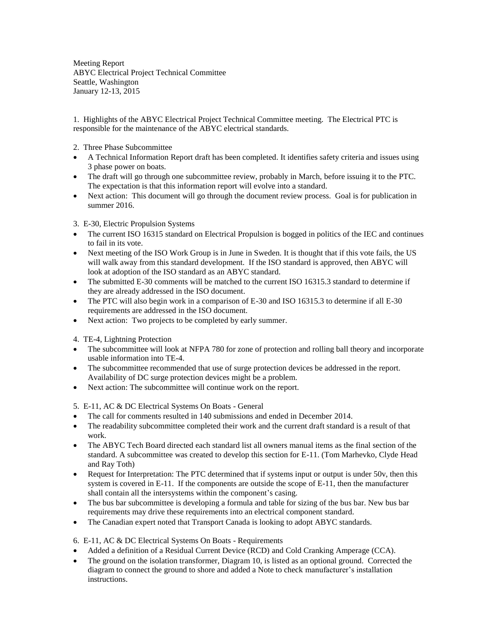Meeting Report ABYC Electrical Project Technical Committee Seattle, Washington January 12-13, 2015

1. Highlights of the ABYC Electrical Project Technical Committee meeting. The Electrical PTC is responsible for the maintenance of the ABYC electrical standards.

- 2. Three Phase Subcommittee
- A Technical Information Report draft has been completed. It identifies safety criteria and issues using 3 phase power on boats.
- The draft will go through one subcommittee review, probably in March, before issuing it to the PTC. The expectation is that this information report will evolve into a standard.
- Next action: This document will go through the document review process. Goal is for publication in summer 2016.

## 3. E-30, Electric Propulsion Systems

- The current ISO 16315 standard on Electrical Propulsion is bogged in politics of the IEC and continues to fail in its vote.
- Next meeting of the ISO Work Group is in June in Sweden. It is thought that if this vote fails, the US will walk away from this standard development. If the ISO standard is approved, then ABYC will look at adoption of the ISO standard as an ABYC standard.
- The submitted E-30 comments will be matched to the current ISO 16315.3 standard to determine if they are already addressed in the ISO document.
- The PTC will also begin work in a comparison of E-30 and ISO 16315.3 to determine if all E-30 requirements are addressed in the ISO document.
- Next action: Two projects to be completed by early summer.

4. TE-4, Lightning Protection

- The subcommittee will look at NFPA 780 for zone of protection and rolling ball theory and incorporate usable information into TE-4.
- The subcommittee recommended that use of surge protection devices be addressed in the report. Availability of DC surge protection devices might be a problem.
- Next action: The subcommittee will continue work on the report.

5. E-11, AC & DC Electrical Systems On Boats - General

- The call for comments resulted in 140 submissions and ended in December 2014.
- The readability subcommittee completed their work and the current draft standard is a result of that work.
- The ABYC Tech Board directed each standard list all owners manual items as the final section of the standard. A subcommittee was created to develop this section for E-11. (Tom Marhevko, Clyde Head and Ray Toth)
- Request for Interpretation: The PTC determined that if systems input or output is under 50v, then this system is covered in E-11. If the components are outside the scope of E-11, then the manufacturer shall contain all the intersystems within the component's casing.
- The bus bar subcommittee is developing a formula and table for sizing of the bus bar. New bus bar requirements may drive these requirements into an electrical component standard.
- The Canadian expert noted that Transport Canada is looking to adopt ABYC standards.

## 6. E-11, AC & DC Electrical Systems On Boats - Requirements

- Added a definition of a Residual Current Device (RCD) and Cold Cranking Amperage (CCA).
- The ground on the isolation transformer, Diagram 10, is listed as an optional ground. Corrected the diagram to connect the ground to shore and added a Note to check manufacturer's installation instructions.